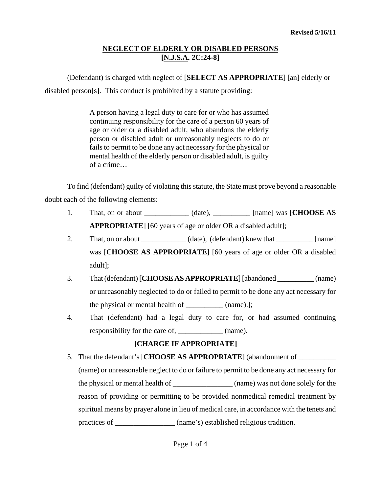# **NEGLECT OF ELDERLY OR DISABLED PERSONS [N.J.S.A. 2C:24-8]**

(Defendant) is charged with neglect of [**SELECT AS APPROPRIATE**] [an] elderly or

disabled person[s]. This conduct is prohibited by a statute providing:

A person having a legal duty to care for or who has assumed continuing responsibility for the care of a person 60 years of age or older or a disabled adult, who abandons the elderly person or disabled adult or unreasonably neglects to do or fails to permit to be done any act necessary for the physical or mental health of the elderly person or disabled adult, is guilty of a crime…

To find (defendant) guilty of violating this statute, the State must prove beyond a reasonable doubt each of the following elements:

- 1. That, on or about (date),  $\qquad \qquad$  [name] was [**CHOOSE AS APPROPRIATE**] [60 years of age or older OR a disabled adult];
- 2. That, on or about \_\_\_\_\_\_\_\_\_\_\_\_\_ (date), (defendant) knew that \_\_\_\_\_\_\_\_\_\_ [name] was [**CHOOSE AS APPROPRIATE**] [60 years of age or older OR a disabled adult];
- 3. That (defendant) [**CHOOSE AS APPROPRIATE**] [abandoned \_\_\_\_\_\_\_\_\_\_ (name) or unreasonably neglected to do or failed to permit to be done any act necessary for the physical or mental health of \_\_\_\_\_\_\_\_\_\_ (name).];
- 4. That (defendant) had a legal duty to care for, or had assumed continuing responsibility for the care of, \_\_\_\_\_\_\_\_\_\_\_\_ (name).

# **[CHARGE IF APPROPRIATE]**

<span id="page-0-0"></span>5. That the defendant's [**CHOOSE AS APPROPRIATE**] (abandonment of \_\_\_\_\_\_\_\_\_\_ (name) or unreasonable neglect to do or failure to permit to be done any act necessary for the physical or mental health of \_\_\_\_\_\_\_\_\_\_\_\_\_\_\_\_ (name) was not done solely for the reason of providing or permitting to be provided nonmedical remedial treatment by spiritual means by prayer alone in lieu of medical care, in accordance with the tenets and practices of \_\_\_\_\_\_\_\_\_\_\_\_\_\_\_\_\_ (name's) established religious tradition.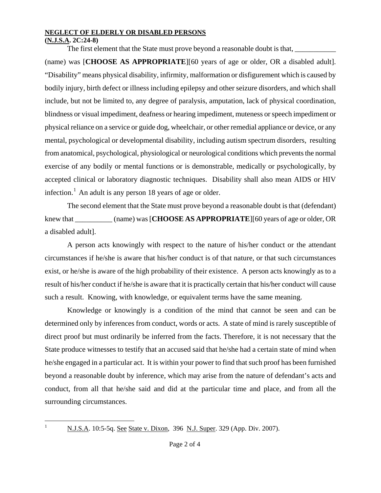## **NEGLECT OF ELDERLY OR DISABLED PERSONS**

## **(N.J.S.A. 2C:24-8)**

The first element that the State must prove beyond a reasonable doubt is that,

(name) was [**CHOOSE AS APPROPRIATE**][60 years of age or older, OR a disabled adult]. "Disability" means physical disability, infirmity, malformation or disfigurement which is caused by bodily injury, birth defect or illness including epilepsy and other seizure disorders, and which shall include, but not be limited to, any degree of paralysis, amputation, lack of physical coordination, blindness or visual impediment, deafness or hearing impediment, muteness or speech impediment or physical reliance on a service or guide dog, wheelchair, or other remedial appliance or device, or any mental, psychological or developmental disability, including autism spectrum disorders, resulting from anatomical, psychological, physiological or neurological conditions which prevents the normal exercise of any bodily or mental functions or is demonstrable, medically or psychologically, by accepted clinical or laboratory diagnostic techniques. Disability shall also mean AIDS or HIV infection.<sup>[1](#page-0-0)</sup> An adult is any person 18 years of age or older.

The second element that the State must prove beyond a reasonable doubt is that (defendant) knew that \_\_\_\_\_\_\_\_\_\_ (name) was [**CHOOSE AS APPROPRIATE**][60 years of age or older, OR a disabled adult].

A person acts knowingly with respect to the nature of his/her conduct or the attendant circumstances if he/she is aware that his/her conduct is of that nature, or that such circumstances exist, or he/she is aware of the high probability of their existence. A person acts knowingly as to a result of his/her conduct if he/she is aware that it is practically certain that his/her conduct will cause such a result. Knowing, with knowledge, or equivalent terms have the same meaning.

 Knowledge or knowingly is a condition of the mind that cannot be seen and can be determined only by inferences from conduct, words or acts. A state of mind is rarely susceptible of direct proof but must ordinarily be inferred from the facts. Therefore, it is not necessary that the State produce witnesses to testify that an accused said that he/she had a certain state of mind when he/she engaged in a particular act. It is within your power to find that such proof has been furnished beyond a reasonable doubt by inference, which may arise from the nature of defendant's acts and conduct, from all that he/she said and did at the particular time and place, and from all the surrounding circumstances.

<span id="page-1-0"></span> $\frac{1}{1}$ 

N.J.S.A. 10:5-5q. See State v. Dixon, 396 N.J. Super. 329 (App. Div. 2007).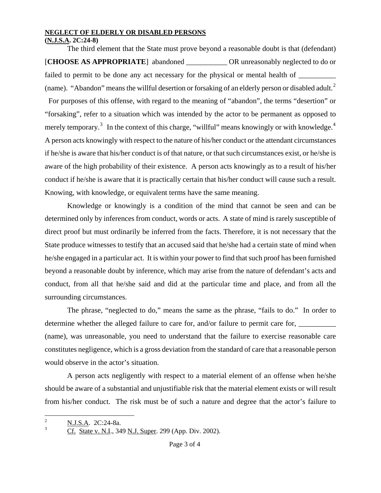#### **NEGLECT OF ELDERLY OR DISABLED PERSONS**

**(N.J.S.A. 2C:24-8)**

The third element that the State must prove beyond a reasonable doubt is that (defendant) [**CHOOSE AS APPROPRIATE**] abandoned \_\_\_\_\_\_\_\_\_\_\_ OR unreasonably neglected to do or failed to permit to be done any act necessary for the physical or mental health of  $\qquad$ (name). "Abandon" means the willful desertion or forsaking of an elderly person or disabled adult.<sup>[2](#page-1-0)</sup> For purposes of this offense, with regard to the meaning of "abandon", the terms "desertion" or "forsaking", refer to a situation which was intended by the actor to be permanent as opposed to merely temporary.<sup>[3](#page-2-0)</sup> In the context of this charge, "willful" means knowingly or with knowledge.<sup>[4](#page-2-1)</sup> A person acts knowingly with respect to the nature of his/her conduct or the attendant circumstances if he/she is aware that his/her conduct is of that nature, or that such circumstances exist, or he/she is aware of the high probability of their existence. A person acts knowingly as to a result of his/her conduct if he/she is aware that it is practically certain that his/her conduct will cause such a result. Knowing, with knowledge, or equivalent terms have the same meaning.

 Knowledge or knowingly is a condition of the mind that cannot be seen and can be determined only by inferences from conduct, words or acts. A state of mind is rarely susceptible of direct proof but must ordinarily be inferred from the facts. Therefore, it is not necessary that the State produce witnesses to testify that an accused said that he/she had a certain state of mind when he/she engaged in a particular act. It is within your power to find that such proof has been furnished beyond a reasonable doubt by inference, which may arise from the nature of defendant's acts and conduct, from all that he/she said and did at the particular time and place, and from all the surrounding circumstances.

The phrase, "neglected to do," means the same as the phrase, "fails to do." In order to determine whether the alleged failure to care for, and/or failure to permit care for, (name), was unreasonable, you need to understand that the failure to exercise reasonable care constitutes negligence, which is a gross deviation from the standard of care that a reasonable person would observe in the actor's situation.

A person acts negligently with respect to a material element of an offense when he/she should be aware of a substantial and unjustifiable risk that the material element exists or will result from his/her conduct. The risk must be of such a nature and degree that the actor's failure to

<span id="page-2-2"></span><span id="page-2-1"></span><span id="page-2-0"></span> $\overline{2}$  $\frac{2}{3}$  N.J.S.A. 2C:24-8a.

Cf. State v. N.I., 349 N.J. Super. 299 (App. Div. 2002).